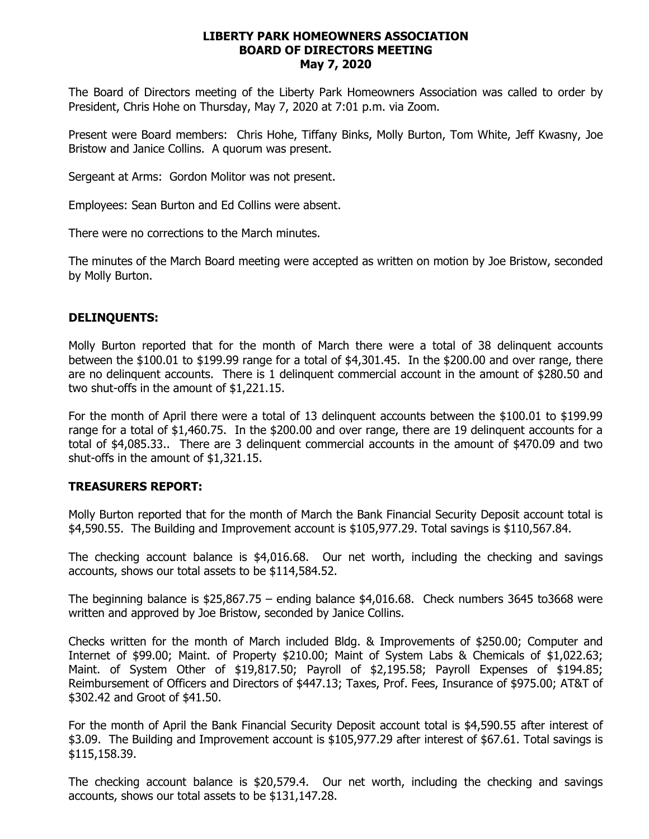#### **LIBERTY PARK HOMEOWNERS ASSOCIATION BOARD OF DIRECTORS MEETING May 7, 2020**

The Board of Directors meeting of the Liberty Park Homeowners Association was called to order by President, Chris Hohe on Thursday, May 7, 2020 at 7:01 p.m. via Zoom.

Present were Board members: Chris Hohe, Tiffany Binks, Molly Burton, Tom White, Jeff Kwasny, Joe Bristow and Janice Collins. A quorum was present.

Sergeant at Arms: Gordon Molitor was not present.

Employees: Sean Burton and Ed Collins were absent.

There were no corrections to the March minutes.

The minutes of the March Board meeting were accepted as written on motion by Joe Bristow, seconded by Molly Burton.

### **DELINQUENTS:**

Molly Burton reported that for the month of March there were a total of 38 delinquent accounts between the \$100.01 to \$199.99 range for a total of \$4,301.45. In the \$200.00 and over range, there are no delinquent accounts. There is 1 delinquent commercial account in the amount of \$280.50 and two shut-offs in the amount of \$1,221.15.

For the month of April there were a total of 13 delinquent accounts between the \$100.01 to \$199.99 range for a total of \$1,460.75. In the \$200.00 and over range, there are 19 delinquent accounts for a total of \$4,085.33.. There are 3 delinquent commercial accounts in the amount of \$470.09 and two shut-offs in the amount of \$1,321.15.

### **TREASURERS REPORT:**

Molly Burton reported that for the month of March the Bank Financial Security Deposit account total is \$4,590.55. The Building and Improvement account is \$105,977.29. Total savings is \$110,567.84.

The checking account balance is \$4,016.68. Our net worth, including the checking and savings accounts, shows our total assets to be \$114,584.52.

The beginning balance is  $$25,867.75$  – ending balance  $$4,016.68$ . Check numbers 3645 to3668 were written and approved by Joe Bristow, seconded by Janice Collins.

Checks written for the month of March included Bldg. & Improvements of \$250.00; Computer and Internet of \$99.00; Maint. of Property \$210.00; Maint of System Labs & Chemicals of \$1,022.63; Maint. of System Other of \$19,817.50; Payroll of \$2,195.58; Payroll Expenses of \$194.85; Reimbursement of Officers and Directors of \$447.13; Taxes, Prof. Fees, Insurance of \$975.00; AT&T of \$302.42 and Groot of \$41.50.

For the month of April the Bank Financial Security Deposit account total is \$4,590.55 after interest of \$3.09. The Building and Improvement account is \$105,977.29 after interest of \$67.61. Total savings is \$115,158.39.

The checking account balance is \$20,579.4. Our net worth, including the checking and savings accounts, shows our total assets to be \$131,147.28.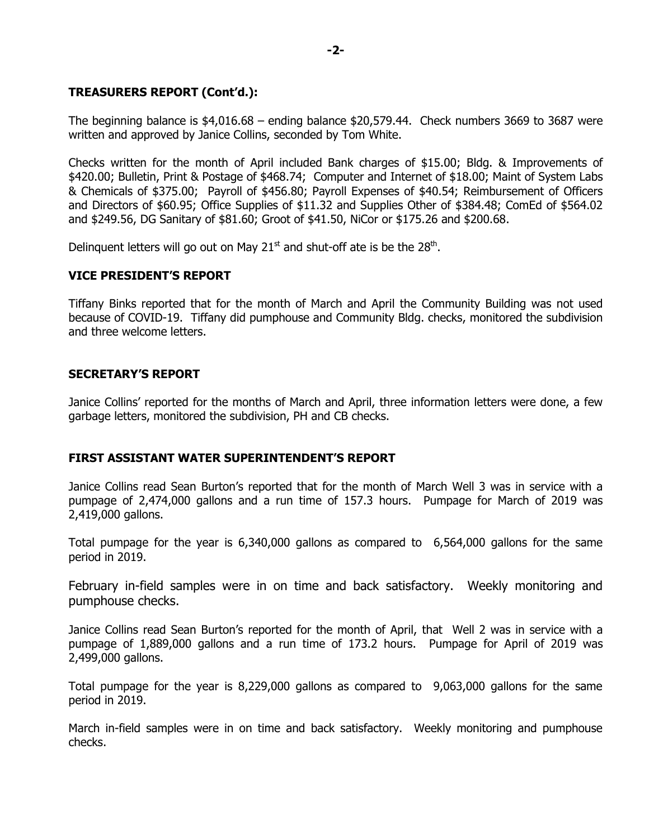# **TREASURERS REPORT (Cont'd.):**

The beginning balance is  $$4,016.68$  – ending balance  $$20,579.44$ . Check numbers 3669 to 3687 were written and approved by Janice Collins, seconded by Tom White.

Checks written for the month of April included Bank charges of \$15.00; Bldg. & Improvements of \$420.00; Bulletin, Print & Postage of \$468.74; Computer and Internet of \$18.00; Maint of System Labs & Chemicals of \$375.00; Payroll of \$456.80; Payroll Expenses of \$40.54; Reimbursement of Officers and Directors of \$60.95; Office Supplies of \$11.32 and Supplies Other of \$384.48; ComEd of \$564.02 and \$249.56, DG Sanitary of \$81.60; Groot of \$41.50, NiCor or \$175.26 and \$200.68.

Delinquent letters will go out on May 21 $st$  and shut-off ate is be the 28 $th$ .

# **VICE PRESIDENT'S REPORT**

Tiffany Binks reported that for the month of March and April the Community Building was not used because of COVID-19. Tiffany did pumphouse and Community Bldg. checks, monitored the subdivision and three welcome letters.

# **SECRETARY'S REPORT**

Janice Collins' reported for the months of March and April, three information letters were done, a few garbage letters, monitored the subdivision, PH and CB checks.

### **FIRST ASSISTANT WATER SUPERINTENDENT'S REPORT**

Janice Collins read Sean Burton's reported that for the month of March Well 3 was in service with a pumpage of 2,474,000 gallons and a run time of 157.3 hours. Pumpage for March of 2019 was 2,419,000 gallons.

Total pumpage for the year is 6,340,000 gallons as compared to 6,564,000 gallons for the same period in 2019.

February in-field samples were in on time and back satisfactory. Weekly monitoring and pumphouse checks.

Janice Collins read Sean Burton's reported for the month of April, that Well 2 was in service with a pumpage of 1,889,000 gallons and a run time of 173.2 hours. Pumpage for April of 2019 was 2,499,000 gallons.

Total pumpage for the year is 8,229,000 gallons as compared to 9,063,000 gallons for the same period in 2019.

March in-field samples were in on time and back satisfactory. Weekly monitoring and pumphouse checks.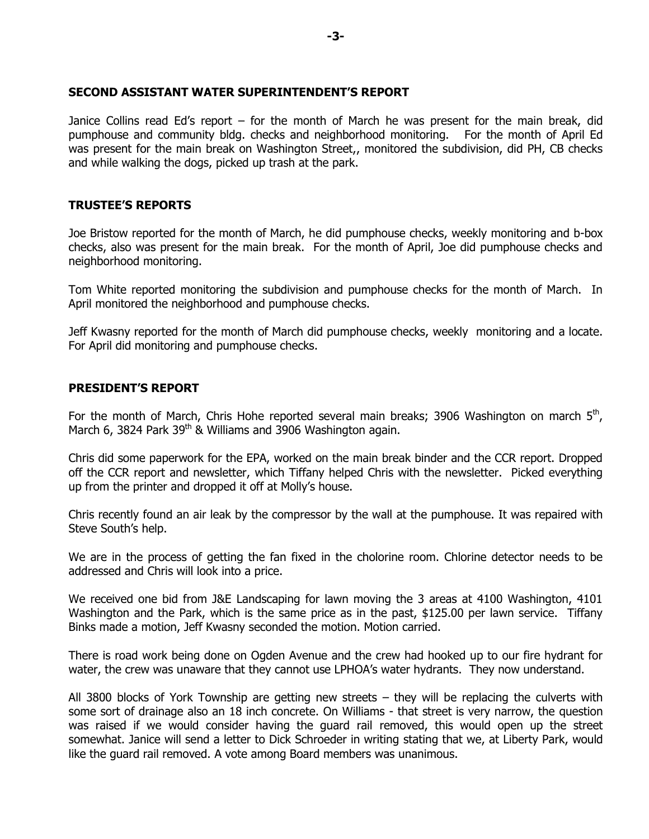#### **SECOND ASSISTANT WATER SUPERINTENDENT'S REPORT**

Janice Collins read Ed's report – for the month of March he was present for the main break, did pumphouse and community bldg. checks and neighborhood monitoring. For the month of April Ed was present for the main break on Washington Street,, monitored the subdivision, did PH, CB checks and while walking the dogs, picked up trash at the park.

### **TRUSTEE'S REPORTS**

Joe Bristow reported for the month of March, he did pumphouse checks, weekly monitoring and b-box checks, also was present for the main break. For the month of April, Joe did pumphouse checks and neighborhood monitoring.

Tom White reported monitoring the subdivision and pumphouse checks for the month of March. In April monitored the neighborhood and pumphouse checks.

Jeff Kwasny reported for the month of March did pumphouse checks, weekly monitoring and a locate. For April did monitoring and pumphouse checks.

### **PRESIDENT'S REPORT**

For the month of March, Chris Hohe reported several main breaks; 3906 Washington on march  $5<sup>th</sup>$ , March 6, 3824 Park 39<sup>th</sup> & Williams and 3906 Washington again.

Chris did some paperwork for the EPA, worked on the main break binder and the CCR report. Dropped off the CCR report and newsletter, which Tiffany helped Chris with the newsletter. Picked everything up from the printer and dropped it off at Molly's house.

Chris recently found an air leak by the compressor by the wall at the pumphouse. It was repaired with Steve South's help.

We are in the process of getting the fan fixed in the cholorine room. Chlorine detector needs to be addressed and Chris will look into a price.

We received one bid from J&E Landscaping for lawn moving the 3 areas at 4100 Washington, 4101 Washington and the Park, which is the same price as in the past, \$125.00 per lawn service. Tiffany Binks made a motion, Jeff Kwasny seconded the motion. Motion carried.

There is road work being done on Ogden Avenue and the crew had hooked up to our fire hydrant for water, the crew was unaware that they cannot use LPHOA's water hydrants. They now understand.

All 3800 blocks of York Township are getting new streets – they will be replacing the culverts with some sort of drainage also an 18 inch concrete. On Williams - that street is very narrow, the question was raised if we would consider having the guard rail removed, this would open up the street somewhat. Janice will send a letter to Dick Schroeder in writing stating that we, at Liberty Park, would like the guard rail removed. A vote among Board members was unanimous.